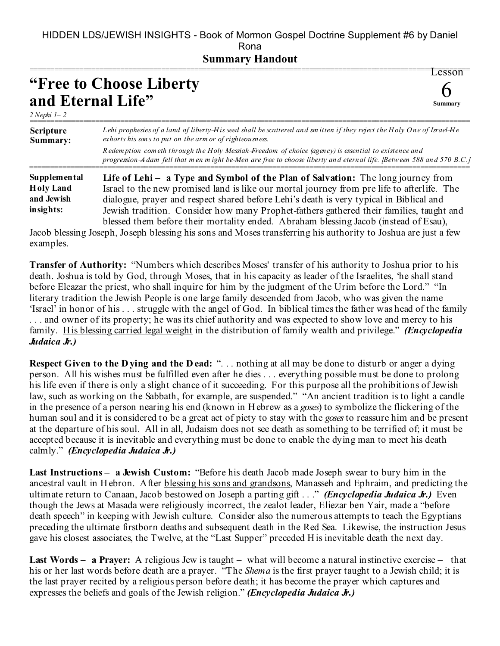## HIDDEN LDS/JEWISH INSIGHTS - Book of Mormon Gospel Doctrine Supplement #6 by Daniel Rona

## **Summary Handout**

| "Free to Choose Liberty" |        |
|--------------------------|--------|
| and Eternal Life"        | Summar |

*2 Nephi 1– 2*

| <b>Scripture</b><br>Summary: | Lehi prophesies of a land of liberty $H$ is seed shall be scattered and smitten if they reject the Holy One of Israel $He$<br>exhorts his sons to put on the arm or of righteousness.                                       |
|------------------------------|-----------------------------------------------------------------------------------------------------------------------------------------------------------------------------------------------------------------------------|
|                              | Redemption cometh through the Holy Messiah-Freedom of choice (agency) is essential to existence and<br>progression A dam fell that men might be Men are free to choose liberty and eternal life. [Between 588 and 570 B.C.] |
| <b>Supplemental</b>          | Life of Lehi - a Type and Symbol of the Plan of Salvation: The long journey from                                                                                                                                            |
| <b>Holy Land</b>             | Israel to the new promised land is like our mortal journey from pre life to afterlife. The                                                                                                                                  |
| and Jewish                   | dialogue, prayer and respect shared before Lehi's death is very typical in Biblical and                                                                                                                                     |
| insights:                    | Jewish tradition. Consider how many Prophet-fathers gathered their families, taught and                                                                                                                                     |

blessed them before their mortality ended. Abraham blessing Jacob (instead of Esau), Jacob blessing Joseph, Joseph blessing his sons and Moses transferring his authority to Joshua are just a few examples.

**Transfer of Authority:** "Numbers which describes Moses' transfer of his authority to Joshua prior to his death. Joshua is told by God, through Moses, that in his capacity as leader of the Israelites, 'he shall stand before Eleazar the priest, who shall inquire for him by the judgment of the Urim before the Lord." "In literary tradition the Jewish People is one large family descended from Jacob, who was given the name 'Israel' in honor of his . . . struggle with the angel of God. In biblical times the father was head of the family ... and owner of its property; he was its chief authority and was expected to show love and mercy to his family. His blessing carried legal weight in the distribution of family wealth and privilege." *(Encyclopedia Judaica Jr.)*

**Respect Given to the D ying and the D ead: "...** nothing at all may be done to disturb or anger a dying person. All his wishes must be fulfilled even after he dies . . . everything possible must be done to prolong his life even if there is only a slight chance of it succeeding. For this purpose all the prohibitions of Jewish law, such as working on the Sabbath, for example, are suspended." "An ancient tradition is to light a candle in the presence of a person nearing his end (known in Hebrew as a *goses*) to symbolize the flickering of the human soul and it is considered to be a great act of piety to stay with the *goses* to reassure him and be present at the departure of his soul. All in all, Judaism does not see death as something to be terrified of; it must be accepted because it is inevitable and everything must be done to enable the dying man to meet his death calmly." *(Encyclopedia Judaica Jr.)*

**Last Instructions – a Jewish Custom:** "Before his death Jacob made Joseph swear to bury him in the ancestral vault in Hebron. After blessing his sons and grandsons, Manasseh and Ephraim, and predicting the ultimate return to Canaan, Jacob bestowed on Joseph a parting gift . . ." *(Encyclopedia Judaica Jr.)* Even though the Jews at Masada were religiously incorrect, the zealot leader, Eliezar ben Yair, made a "before death speech" in keeping with Jewish culture. Consider also the numerous attempts to teach the Egyptians preceding the ultimate firstborn deaths and subsequent death in the Red Sea. Likewise, the instruction Jesus gave his closest associates, the Twelve, at the "Last Supper" preceded His inevitable death the next day.

**Last Words – a Prayer:** A religious Jew is taught – what will become a natural instinctive exercise – that his or her last words before death are a prayer. "The *Shema* is the first prayer taught to a Jewish child; it is the last prayer recited by a religious person before death; it has become the prayer which captures and expresses the beliefs and goals of the Jewish religion." *(Encyclopedia Judaica Jr.)*